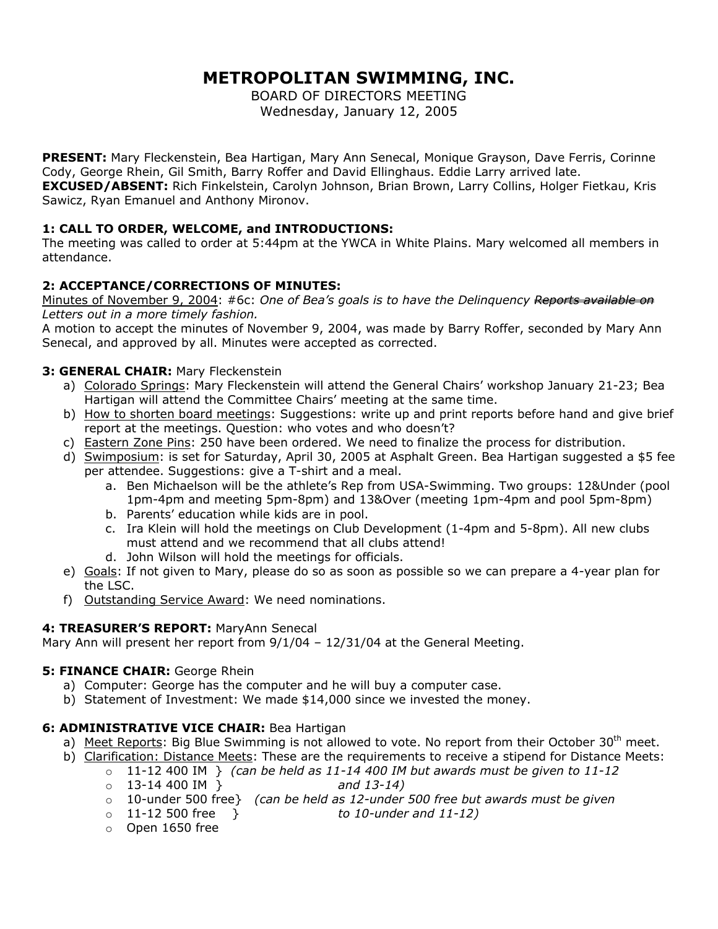# **METROPOLITAN SWIMMING, INC.**

BOARD OF DIRECTORS MEETING Wednesday, January 12, 2005

**PRESENT:** Mary Fleckenstein, Bea Hartigan, Mary Ann Senecal, Monique Grayson, Dave Ferris, Corinne Cody, George Rhein, Gil Smith, Barry Roffer and David Ellinghaus. Eddie Larry arrived late. **EXCUSED/ABSENT:** Rich Finkelstein, Carolyn Johnson, Brian Brown, Larry Collins, Holger Fietkau, Kris Sawicz, Ryan Emanuel and Anthony Mironov.

# **1: CALL TO ORDER, WELCOME, and INTRODUCTIONS:**

The meeting was called to order at 5:44pm at the YWCA in White Plains. Mary welcomed all members in attendance.

# **2: ACCEPTANCE/CORRECTIONS OF MINUTES:**

Minutes of November 9, 2004: #6c: *One of Bea's goals is to have the Delinquency Reports available on Letters out in a more timely fashion.* 

A motion to accept the minutes of November 9, 2004, was made by Barry Roffer, seconded by Mary Ann Senecal, and approved by all. Minutes were accepted as corrected.

# **3: GENERAL CHAIR:** Mary Fleckenstein

- a) Colorado Springs: Mary Fleckenstein will attend the General Chairs' workshop January 21-23; Bea Hartigan will attend the Committee Chairs' meeting at the same time.
- b) How to shorten board meetings: Suggestions: write up and print reports before hand and give brief report at the meetings. Question: who votes and who doesn't?
- c) Eastern Zone Pins: 250 have been ordered. We need to finalize the process for distribution.
- d) Swimposium: is set for Saturday, April 30, 2005 at Asphalt Green. Bea Hartigan suggested a \$5 fee per attendee. Suggestions: give a T-shirt and a meal.
	- a. Ben Michaelson will be the athlete's Rep from USA-Swimming. Two groups: 12&Under (pool 1pm-4pm and meeting 5pm-8pm) and 13&Over (meeting 1pm-4pm and pool 5pm-8pm)
	- b. Parents' education while kids are in pool.
	- c. Ira Klein will hold the meetings on Club Development (1-4pm and 5-8pm). All new clubs must attend and we recommend that all clubs attend!
	- d. John Wilson will hold the meetings for officials.
- e) Goals: If not given to Mary, please do so as soon as possible so we can prepare a 4-year plan for the LSC.
- f) Outstanding Service Award: We need nominations.

# **4: TREASURER'S REPORT:** MaryAnn Senecal

Mary Ann will present her report from 9/1/04 – 12/31/04 at the General Meeting.

# **5: FINANCE CHAIR:** George Rhein

- a) Computer: George has the computer and he will buy a computer case.
- b) Statement of Investment: We made \$14,000 since we invested the money.

# **6: ADMINISTRATIVE VICE CHAIR:** Bea Hartigan

- a) Meet Reports: Big Blue Swimming is not allowed to vote. No report from their October 30<sup>th</sup> meet.
- b) Clarification: Distance Meets: These are the requirements to receive a stipend for Distance Meets:
	- o 11-12 400 IM } *(can be held as 11-14 400 IM but awards must be given to 11-12*
	- o 13-14 400 IM } *and 13-14)*
	- o 10-under 500 free} *(can be held as 12-under 500 free but awards must be given*
	- o 11-12 500 free } *to 10-under and 11-12)*
	- o Open 1650 free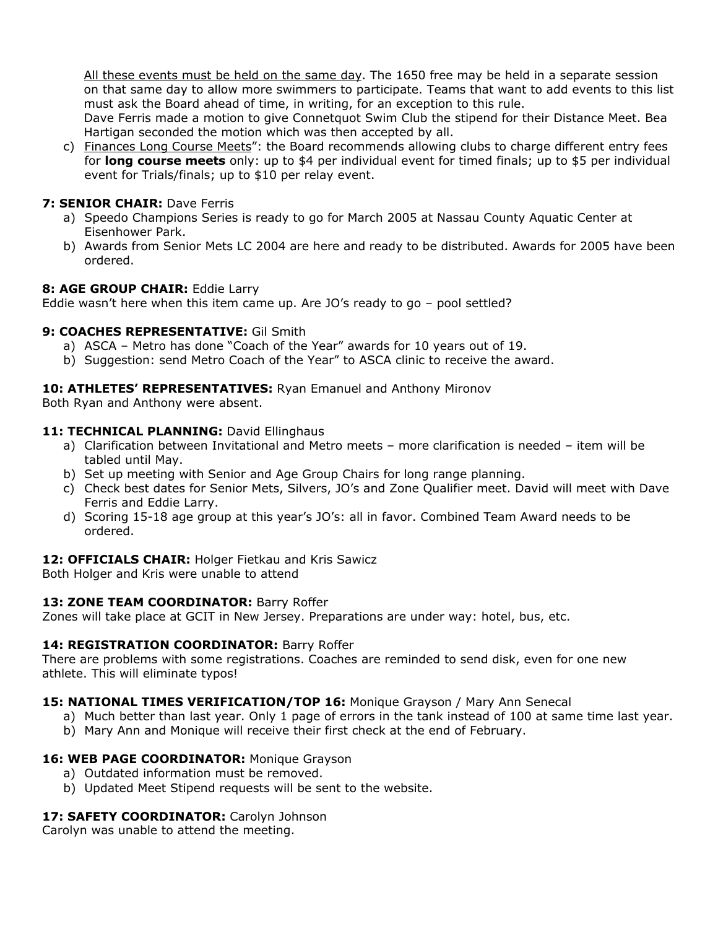All these events must be held on the same day. The 1650 free may be held in a separate session on that same day to allow more swimmers to participate. Teams that want to add events to this list must ask the Board ahead of time, in writing, for an exception to this rule.

 Dave Ferris made a motion to give Connetquot Swim Club the stipend for their Distance Meet. Bea Hartigan seconded the motion which was then accepted by all.

c) Finances Long Course Meets": the Board recommends allowing clubs to charge different entry fees for **long course meets** only: up to \$4 per individual event for timed finals; up to \$5 per individual event for Trials/finals; up to \$10 per relay event.

# **7: SENIOR CHAIR:** Dave Ferris

- a) Speedo Champions Series is ready to go for March 2005 at Nassau County Aquatic Center at Eisenhower Park.
- b) Awards from Senior Mets LC 2004 are here and ready to be distributed. Awards for 2005 have been ordered.

#### **8: AGE GROUP CHAIR:** Eddie Larry

Eddie wasn't here when this item came up. Are JO's ready to go – pool settled?

## **9: COACHES REPRESENTATIVE:** Gil Smith

- a) ASCA Metro has done "Coach of the Year" awards for 10 years out of 19.
- b) Suggestion: send Metro Coach of the Year" to ASCA clinic to receive the award.

## **10: ATHLETES' REPRESENTATIVES:** Ryan Emanuel and Anthony Mironov

Both Ryan and Anthony were absent.

## 11: TECHNICAL PLANNING: David Ellinghaus

- a) Clarification between Invitational and Metro meets more clarification is needed item will be tabled until May.
- b) Set up meeting with Senior and Age Group Chairs for long range planning.
- c) Check best dates for Senior Mets, Silvers, JO's and Zone Qualifier meet. David will meet with Dave Ferris and Eddie Larry.
- d) Scoring 15-18 age group at this year's JO's: all in favor. Combined Team Award needs to be ordered.

#### **12: OFFICIALS CHAIR:** Holger Fietkau and Kris Sawicz

Both Holger and Kris were unable to attend

#### 13: ZONE TEAM COORDINATOR: Barry Roffer

Zones will take place at GCIT in New Jersey. Preparations are under way: hotel, bus, etc.

#### 14: REGISTRATION COORDINATOR: Barry Roffer

There are problems with some registrations. Coaches are reminded to send disk, even for one new athlete. This will eliminate typos!

#### **15: NATIONAL TIMES VERIFICATION/TOP 16:** Monique Grayson / Mary Ann Senecal

- a) Much better than last year. Only 1 page of errors in the tank instead of 100 at same time last year.
- b) Mary Ann and Monique will receive their first check at the end of February.

#### 16: WEB PAGE COORDINATOR: Monique Grayson

- a) Outdated information must be removed.
- b) Updated Meet Stipend requests will be sent to the website.

# 17: SAFETY COORDINATOR: Carolyn Johnson

Carolyn was unable to attend the meeting.